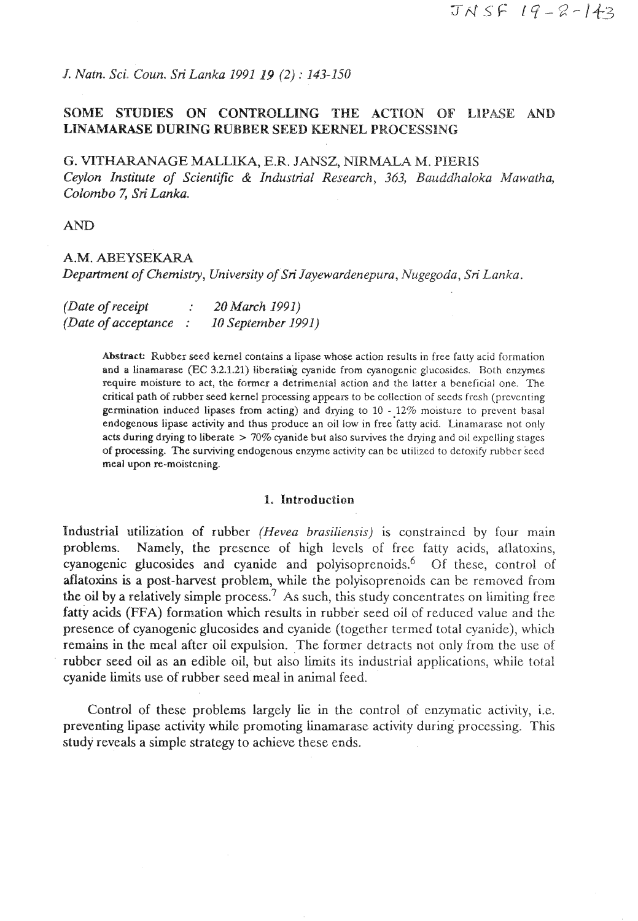*J. Nah. Sci. Coun. Sri Lanka 1991* **19** *(2)* : *143-150* 

# **SOME STUDIES ON CONTROLLING THE ACTION OF ILIPASE AND LINAMARASE DURING RUBBER SEED KERNEL PROCESSING**

**G. VrTWNAGE MALLIKA, E.R.** JANSZ, **NIRMALA M.** PIERIS *Ceylon Institute of Scientific* & *Industrial Research, 363, Bauddhaloka Mawatha, Colombo 7, Sri Lanka.* 

AND

## *A.M.* **ABEYSEMARA**

*Department of Chemistry, Universify of Sri Sqewardenepura, Nugegoda,* Sri *Lanka.* 

| (Date of receipt)    | 20 March 1991)     |
|----------------------|--------------------|
| (Date of acceptance) | 10 September 1991) |

Abstract: Rubber seed kernel contains a lipase whose action results in free fatty acid formation and a linarnamse (EC 3.2.1.21) liberating cyanide **from** cyanogenic glucosides. Both enzymes require moisture to act, the former a detrimental action and the latter a beneficial one. The critical path of rubber seed kernel processing appears to be collection of seeds fresh (preventing germination induced lipases from acting) and drying to  $10 - 12\%$  moisture to prevent basal endogenous lipase activity and thus produce an oil low in free fatty acid. Linamarase not only acts during drying to liberate  $> 70\%$  cyanide but also survives the drying and oil expelling stages of processing. The su~ving endogenous enzyme activity can be utilized to detoxify **rubber** seed meal upon re-moistening.

#### **1. Introduction**

Industrial utilization of rubber *(Hevea brasiliensis)* is constrained by four main problems. Namely, the presence of high levels of free fatty acids, ailatoxins, cyanogenic glucosides and cyanide and polyisoprenoids.<sup>6</sup> Of these, control of atlatoxins is a post-harvest problem, while the polyisoprenoids can be removed from the oil by a relatively simple process.<sup> $7$ </sup> As such, this study concentrates on limiting free fatty acids **(FFA)** formation which results in rubber seed oil of reduced value and the presence of cyanogenic glucosides and cyanide (together termed total cyanide), which remains in the meal after oil expulsion. The former detracts not only from the use of rubber seed oil as **an** edible oil, but also limits its industrial applications, while total cyanide limits use of rubber seed meal in animal feed.

Control of these problems largely lie in the control of enzymatic activity, i.e. preventing lipase activity while promoting linamarase activity during processing. This study reveals a simple strategy to achieve these ends.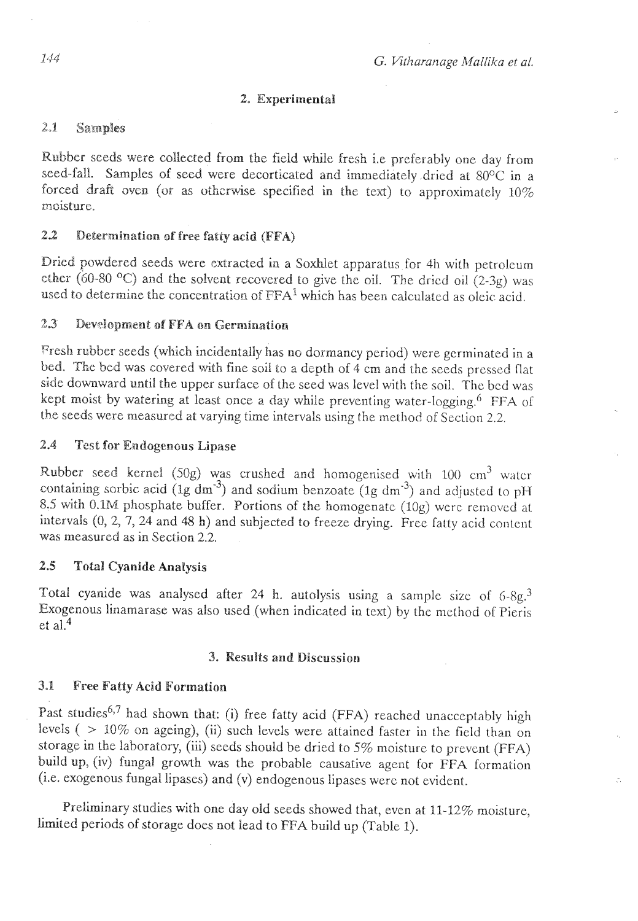### **2, Experimental**

# **2-1 Samples**

Rubber seeds were collected from the field while fresh i.e preferably one day from seed-fall. Samples of seed were decorticated and immediately dried at 80°C in a forced draft oven (or as otherwise specified in the text) to approximately  $10\%$ moisture.

# **2.2 Determination st' free fatty acid (FFA)**

Dried powdered seeds were extracted in a Soxhlet apparatus for 4h with petroleum ether  $(60-80$  <sup>o</sup>C) and the solvent recovered to give the oil. The dricd oil  $(2-3g)$  was used to determine the concentration of  $FFA<sup>1</sup>$  which has been calculated as oleic acid.

## 2.3 Development of FFA on Germination

Fresh rubber seeds (which incidentally has no dormancy period) were germinated in a bed. The bed was covered with fine soii to a depth of 4 cm and the sceds pressed flat side downward until the upper surface of the seed was level with the soil. The bcd was kept moist by watering at least once a day while preventing water-logging.<sup>6</sup> FFA of the seeds were measured at varying time intervals using the method of Section 2.2.

# **2,4** Tcst **for Endogensus Eipase**

Rubber seed kernel (50g) was crushed and homogenised with 100  $cm<sup>3</sup>$  watcr containing sorbic acid ( $1g \text{ dm}^{-3}$ ) and sodium benzoate ( $1g \text{ dm}^{-3}$ ) and adjusted to pH 8.5 with 0.1M phosphate buffer. Portions of the homogenate  $(10g)$  were removed at intervals (0, 2, 7, 24 and 48 h) and subjected to freeze drying. Free fatty acid content was measurcd as in Section 2.2.

## **2.5 Total Cyanide Analysis**

Total cyanide was analysed after 24 h. autolysis using a sample sizc of *6-8g3*  Exogenous linamasase was also used (when indicated in text) by thc method ol Pieris et al.<sup>4</sup>

### **3.** *Results* **and Discussion**

## **3.1 Free Fatty Acid Formation**

Past studies<sup>6,7</sup> had shown that: (i) free fatty acid (FFA) reached unacceptably high levels ( > 10% on ageing), (ii) such levels were attained faster in the field than on storage in the laboratory, (iii) seeds should be dried to  $5\%$  moisture to prevent (FFA) build up, (iv) fungal growth was the probable causative agent for FFA formation **(i.e.** exogenous fungal lipases) and (v) endogenous lipases were not evident.

Preliminary studies with one day old seeds showed that, even at 11-12% moisture, limited periods of storage does not lead to FFA build up (Table 1).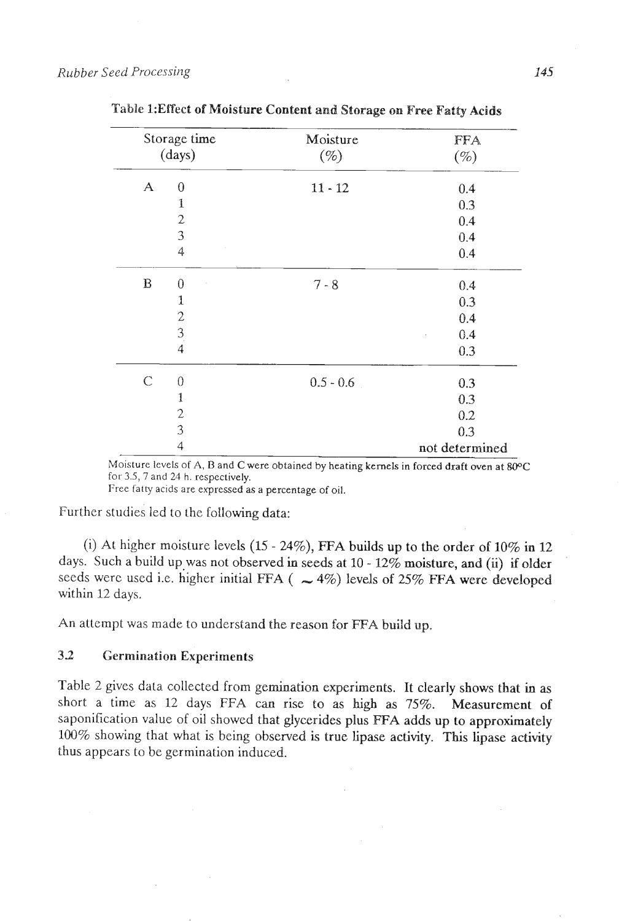|                  | Storage time     | Moisture    | FFA            |
|------------------|------------------|-------------|----------------|
| (days)           |                  | $(\%)$      | $(\%)$         |
| $\boldsymbol{A}$ | $\boldsymbol{0}$ | $11 - 12$   | 0.4            |
|                  | $\mathbf{1}$     |             | 0.3            |
|                  | $\overline{2}$   |             | 0.4            |
|                  | 3                |             | 0.4            |
|                  | 4                |             | 0.4            |
| $\, {\bf B}$     | $\theta$         | $7 - 8$     | 0.4            |
|                  | 1                |             | 0.3            |
|                  |                  |             | 0.4            |
|                  | $\frac{2}{3}$    |             | 0.4            |
|                  |                  |             | 0.3            |
| $\mathcal{C}$    | $\theta$         | $0.5 - 0.6$ | 0.3            |
|                  | $\mathbf{1}$     |             | 0.3            |
|                  | $\mathbf{c}$     |             | 0.2            |
|                  | 3                |             | 0.3            |
|                  | $\overline{4}$   |             | not determined |

Table 1: Effect of Moisture Content and Storage on Free Fatty Acids

Moisture levels of A, **B** and C were obtained by heating kernels in forced draft wen **at** *WC*  for 3.5,7 and 24 h. respectively.

Free fatty acids are expressed as a percentage of oil.

Further studies led to the following data:

(i) At higher moisture levels  $(15 - 24\%)$ , FFA builds up to the order of  $10\%$  in 12 days. Such a build up was not observed in seeds at 10 - 12% moisture, and (ii) if older seeds were used i.e. higher initial FFA  $($   $\sim$  4%) levels of 25% FFA were developed within 12 days.

An attempt was made to understand the reason for FFA build up.

## **32 Germination Experiments**

Table 2 gives data collected from gemination experiments. It clearly shows that in **as**  short a time as 12 days FFA can rise to as high as 75%. Measurement of saponification value of oil showed that glycerides plus **ETA** adds up to approximately 100% showing that what is being observed is true lipase activity. **This** lipase activity thus appears to be germination induced.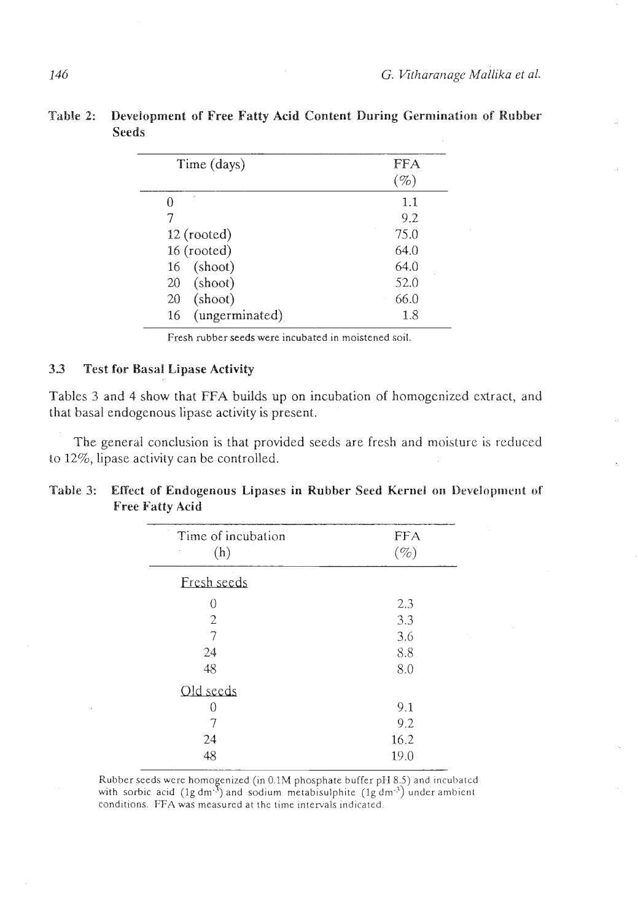| Time (days)          | FFA<br>$(\%)$ |
|----------------------|---------------|
| ċ,                   | 1.1           |
| 7                    | 9.2           |
| $12$ (rooted)        | 75.0          |
| 16 (rooted)          | 64.0          |
| 16 (shoot)           | 64.0          |
| (shoot)<br>20        | 52.0          |
| (shoot)<br>20        | 66.0          |
| (ungerminated)<br>16 | 1.8           |

**Table 2: Development of Free Fatty Acid Content During Germination of Rubber Seeds** 

Fresh rubber seeds were incubated in moistened soil.

## **33 Test for Basall Lipase Activity**

Tables **3** and 4 show that **FFA** builds up on incubation of hornogcnized extract, and that basal endogenous lipase activity is present.

The general conclusion is that provided seeds are fresh and moisture is reduced to 12%, lipase activity can be controlled.

| Table 3: Effect of Endogenous Lipases in Rubber Seed Kernel on Development of |
|-------------------------------------------------------------------------------|
| <b>Free Fatty Acid</b>                                                        |
|                                                                               |

| Time of incubation<br>(h) | <b>FFA</b><br>$(\%)$ |
|---------------------------|----------------------|
|                           |                      |
| Fresh seeds               |                      |
| 0                         | 2.3                  |
| 2                         | 3.3                  |
| 7                         | 3.6                  |
| 24                        | 8.8                  |
| 48                        | 8.0                  |
| Old seeds                 |                      |
| 0                         | 9.1                  |
| 7                         | 9.2                  |
| 24                        | 16.2                 |
| 48                        | 19.0                 |

Rubber seeds were homogenized (in 0.1M phosphate buffer pH 8.5) and incubated with sorbic acid (lg dm<sup>-3</sup>) and sodium metabisulphite (lg dm<sup>-3</sup>) under ambient conditions. FFA was measured at the time intervals indicated.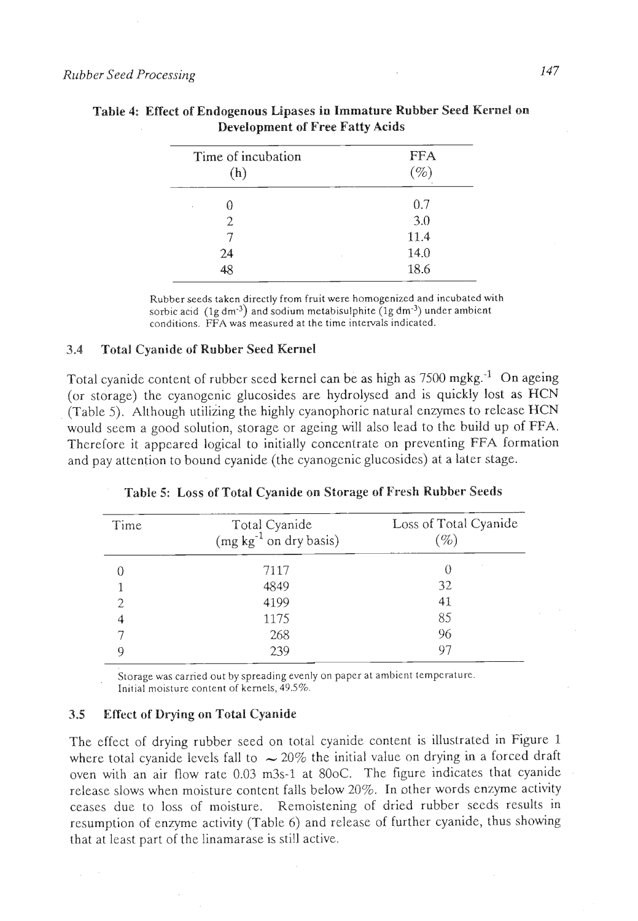| Time of incubation<br>(h) | <b>FFA</b><br>$\mathscr{C}_o$ |
|---------------------------|-------------------------------|
| ₩                         | 0.7                           |
| 2                         | 3.0                           |
|                           | 11.4                          |
| 24<br>٠                   | 14.0                          |
| 48                        | 18.6                          |

| Table 4: Effect of Endogenous Lipases in Immature Rubber Seed Kernel on |  |
|-------------------------------------------------------------------------|--|
| <b>Development of Free Fatty Acids</b>                                  |  |

Rubber seeds taken directly from fruit were homogenized and incubated with sorbic acid  $(1g dm<sup>-3</sup>)$  and sodium metabisulphite  $(1g dm<sup>-3</sup>)$  under ambient conditions. FFA was measured at the time intervals indicated.

### **3.4 Total Cyanide of Rubber Seed Kernel**

Total cyanide content of rubber seed kernel can be as high as 7500 mgkg.<sup>-1</sup> On ageing (or storage) the cyanogenic glucosides are hydrolysed and is quickly lost as HCN (Table *5).* Although utilizing the highly cyanophoric natural enzymes to relcase HCN would seem a good solution, storage or ageing will also lead to the build up of FFA. Therefore it appeared logical to initially concentrate on preventing FFA formation and pay attention to bound cyanide (the cyanogenic glucosides) at a later stage.

| Time | Total Cyanide<br>$(mg kg-1$ on dry basis) | Loss of Total Cyanide<br>$\mathscr{D}_o$ |
|------|-------------------------------------------|------------------------------------------|
|      | 7117                                      | $^{(+)}$                                 |
|      | 4849                                      | 32                                       |
|      | 4199                                      | 41                                       |
| 4    | 1175                                      | 85                                       |
|      | 268                                       | 96                                       |
|      | 239                                       | 97                                       |

**Table 5: Loss of Total Cyanide on Storage of Fresh Rubber Seeds** 

Storage was carried out by spreading evenly on paper at ambient temperature. Initial moisture content of kernels, 49.5%.

### **3.5 Effect of Drying on Total Cyanide**

The effect of drying rubber seed on total cyanide content is illustrated in Figure 1 where total cyanide levels fall to  $\sim 20\%$  the initial value on drying in a forced draft oven with an air flow rate 0.03 m3s-1 at 80oC. The figure indicates that cyanide release slows when moisture content falls below 20%. In other words enzyme activity ceases due to loss of moisture. Remoistening of dried rubber seeds results in resumption of enzyme activity (Table 6) and release of further cyanide, thus showing that at least part of the linamarase is still active.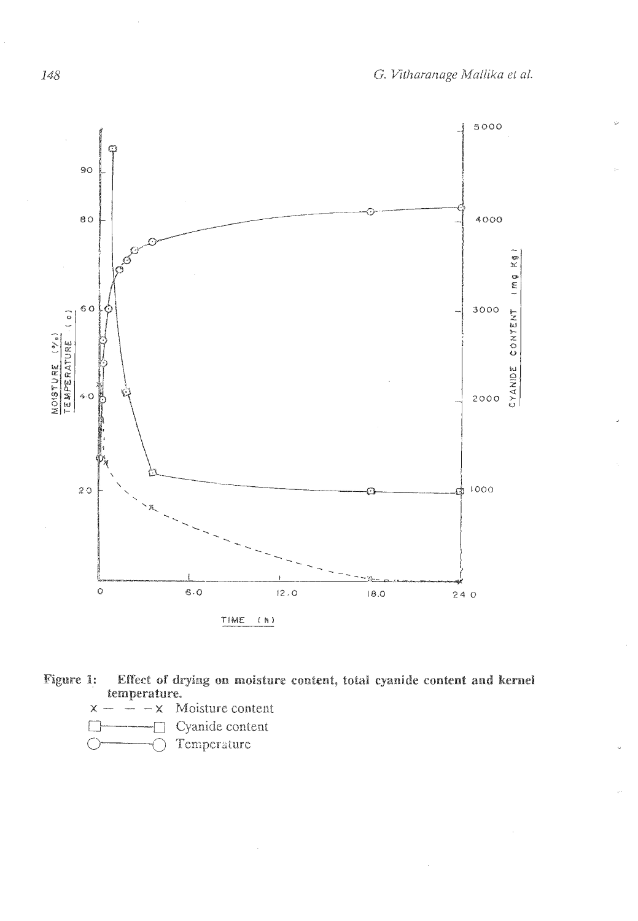

**Figure 1:** Effect of drying on moisture content, total cyanide content and kernel **temperature.**<br> $\times$   $\,$   $\Lambda$ 

 $x - \frac{1}{x} - x$  Moisture content

*C-0* Cyanide content

O- Temperature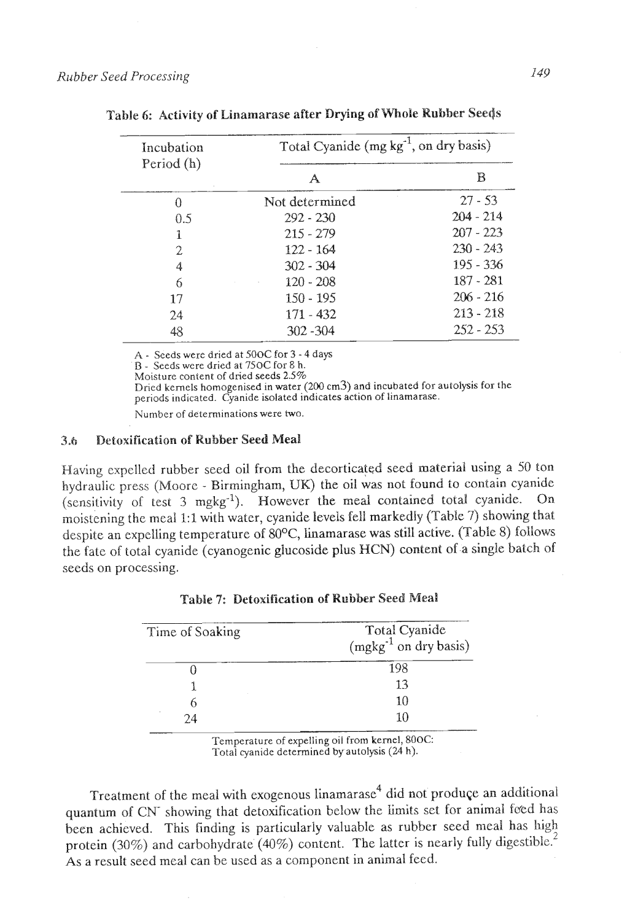| Incubation    | Total Cyanide $(mg kg-1, on dry basis)$ |             |  |
|---------------|-----------------------------------------|-------------|--|
| Period (h)    | А                                       | R           |  |
| 0             | Not determined                          | $27 - 53$   |  |
| 0.5           | $292 - 230$                             | $204 - 214$ |  |
| 1             | $215 - 279$                             | $207 - 223$ |  |
| $\mathcal{D}$ | $122 - 164$                             | $230 - 243$ |  |
| 4             | $302 - 304$                             | 195 - 336   |  |
| 6             | $120 - 208$                             | 187 - 281   |  |
| 17            | $150 - 195$                             | $206 - 216$ |  |
| 24            | $171 - 432$                             | $213 - 218$ |  |
| 48            | $302 - 304$                             | 252 - 253   |  |

Table 6: Activity of kinamarase after **Drying of** Whole **Rubber** See\$§

**A** - **Seeds were dried at** 500C **for 3** - **4 days** 

**B** - **Seeds were dried at** 750C **for E** h.

**Moisture content of dried seeds 2.5%** 

**Dried kernels homogenised in water (200 crn3) and incubated for autolysis for the**  periods indicated. Cyanide isolated indicates action of linamarase.

**Number of deteminations were hvo.** 

## **3.h** Detoxification of Rubber Seed Meal

Having expelled rubber seed oil from the decorticated seed material using a 50 ton hydraulic press (Moore - Birmingham, **UK)** the oil was not found to contain cyanide (sensitivity of test **3** mgkg"). However the meal contained total cyanide. OR moistening the meal 1:1 with water, cyanide levels fell markedly (Table 7) showing that despite an expelling temperature of 80°C, iinamarase was still active. (Table 8) follows the fatc of total cyanide (cyanogenic glucoside plus **HCN)** content of a single batch of seeds on processing.

| Time of Soaking | Total Cyanide<br>(mgkg <sup>-1</sup> on dry basis) |
|-----------------|----------------------------------------------------|
|                 | 198                                                |
|                 | 13                                                 |
|                 | 10                                                 |
| 24              | 10                                                 |

Table **7:** Detoxification of Rubber **Seed Meal** 

**Temperature of expelling oil from kernel,** 80OC: **Total cyanide determined by autolysis (24 h).** 

Treatment of the meal with exogenous linamarase<sup>4</sup> did not produce an additional quantum of CN- showing that detoxification below the limits set for animal feed has been achieved. This finding is particulariy valuable as rubber seed meal has high protein (30%) and carbohydrate (40%) content. The latter is nearly fully digestible.<sup>2</sup> As a result seed meal can be used as a component in animal feed.